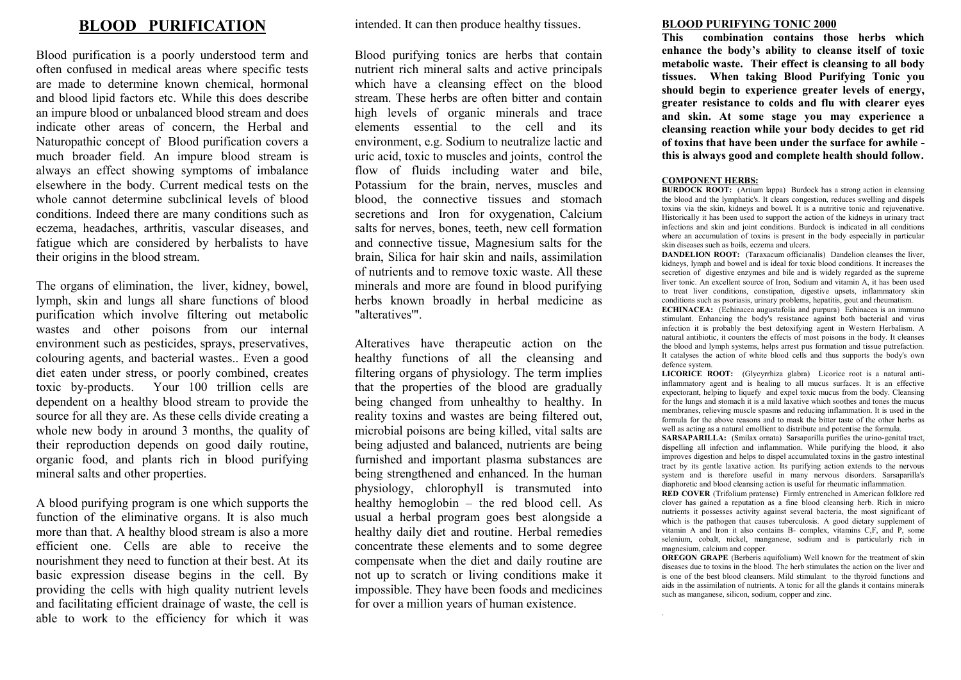## **BLOOD PURIFICATION**

Blood purification is a poorly understood term and often confused in medical areas where specific tests are made to determine known chemical, hormonal and blood lipid factors etc. While this does describe an impure blood or unbalanced blood stream and does indicate other areas of concern, the Herbal and Naturopathic concept of Blood purification covers a much broader field. An impure blood stream is always an effect showing symptoms of imbalance elsewhere in the body. Current medical tests on the whole cannot determine subclinical levels of blood conditions. Indeed there are many conditions such as eczema, headaches, arthritis, vascular diseases, and fatigue which are considered by herbalists to have their origins in the blood stream.

The organs of elimination, the liver, kidney, bowel, lymph, skin and lungs all share functions of blood purification which involve filtering out metabolic wastes and other poisons from our internal environment such as pesticides, sprays, preservatives, colouring agents, and bacterial wastes.. Even a good diet eaten under stress, or poorly combined, creates toxic by-products. Your 100 trillion cells are dependent on a healthy blood stream to provide the source for all they are. As these cells divide creating a whole new body in around 3 months, the quality of their reproduction depends on good daily routine, organic food, and plants rich in blood purifying mineral salts and other properties.

A blood purifying program is one which supports the function of the eliminative organs. It is also much more than that. A healthy blood stream is also a more efficient one. Cells are able to receive the nourishment they need to function at their best. At its basic expression disease begins in the cell. By providing the cells with high quality nutrient levels and facilitating efficient drainage of waste, the cell is able to work to the efficiency for which it was intended. It can then produce healthy tissues.

Blood purifying tonics are herbs that contain nutrient rich mineral salts and active principals which have a cleansing effect on the blood stream. These herbs are often bitter and contain high levels of organic minerals and trace elements essential to the cell and its environment, e.g. Sodium to neutralize lactic and uric acid, toxic to muscles and joints, control the flow of fluids including water and bile, Potassium for the brain, nerves, muscles and blood, the connective tissues and stomach secretions and Iron for oxygenation, Calcium salts for nerves, bones, teeth, new cell formation and connective tissue, Magnesium salts for the brain, Silica for hair skin and nails, assimilation of nutrients and to remove toxic waste. All these minerals and more are found in blood purifying herbs known broadly in herbal medicine as "alteratives'".

Alteratives have therapeutic action on the healthy functions of all the cleansing and filtering organs of physiology. The term implies that the properties of the blood are gradually being changed from unhealthy to healthy. In reality toxins and wastes are being filtered out, microbial poisons are being killed, vital salts are being adjusted and balanced, nutrients are being furnished and important plasma substances are being strengthened and enhanced. In the human physiology, chlorophyll is transmuted into healthy hemoglobin – the red blood cell. As usual a herbal program goes best alongside a healthy daily diet and routine. Herbal remedies concentrate these elements and to some degree compensate when the diet and daily routine are not up to scratch or living conditions make it impossible. They have been foods and medicines for over a million years of human existence.

## **BLOOD PURIFYING TONIC 2000**

**This combination contains those herbs which enhance the body's ability to cleanse itself of toxic metabolic waste. Their effect is cleansing to all body tissues. When taking Blood Purifying Tonic you should begin to experience greater levels of energy, greater resistance to colds and flu with clearer eyes and skin. At some stage you may experience a cleansing reaction while your body decides to get rid of toxins that have been under the surface for awhile this is always good and complete health should follow.**

## **COMPONENT HERBS:**

.

**BURDOCK ROOT:** (Artium lappa) Burdock has a strong action in cleansing the blood and the lymphatic's. It clears congestion, reduces swelling and dispels toxins via the skin, kidneys and bowel. It is a nutritive tonic and rejuvenative. Historically it has been used to support the action of the kidneys in urinary tract infections and skin and joint conditions. Burdock is indicated in all conditions where an accumulation of toxins is present in the body especially in particular skin diseases such as boils, eczema and ulcers.

**DANDELION ROOT:** (Taraxacum officianalis) Dandelion cleanses the liver, kidneys, lymph and bowel and is ideal for toxic blood conditions. It increases the secretion of digestive enzymes and bile and is widely regarded as the supreme liver tonic. An excellent source of Iron, Sodium and vitamin A, it has been used to treat liver conditions, constipation, digestive upsets, inflammatory skin conditions such as psoriasis, urinary problems, hepatitis, gout and rheumatism.

**ECHINACEA:** (Echinacea augustafolia and purpura) Echinacea is an immuno stimulant. Enhancing the body's resistance against both bacterial and virus infection it is probably the best detoxifying agent in Western Herbalism. A natural antibiotic, it counters the effects of most poisons in the body. It cleanses the blood and lymph systems, helps arrest pus formation and tissue putrefaction. It catalyses the action of white blood cells and thus supports the body's own defence system.

**LICORICE ROOT:** (Glycyrrhiza glabra) Licorice root is a natural antiinflammatory agent and is healing to all mucus surfaces. It is an effective expectorant, helping to liquefy and expel toxic mucus from the body. Cleansing for the lungs and stomach it is a mild laxative which soothes and tones the mucus membranes, relieving muscle spasms and reducing inflammation. It is used in the formula for the above reasons and to mask the bitter taste of the other herbs as well as acting as a natural emollient to distribute and potentise the formula.

**SARSAPARILLA:** (Smilax ornata) Sarsaparilla purifies the urino-genital tract, dispelling all infection and inflammation. While purifying the blood, it also improves digestion and helps to dispel accumulated toxins in the gastro intestinal tract by its gentle laxative action. Its purifying action extends to the nervous system and is therefore useful in many nervous disorders. Sarsaparilla's diaphoretic and blood cleansing action is useful for rheumatic inflammation.

**RED COVER** (Trifolium pratense) Firmly entrenched in American folklore red clover has gained a reputation as a fine blood cleansing herb. Rich in micro nutrients it possesses activity against several bacteria, the most significant of which is the pathogen that causes tuberculosis. A good dietary supplement of vitamin A and Iron it also contains B- complex, vitamins C,F, and P, some selenium, cobalt, nickel, manganese, sodium and is particularly rich in magnesium, calcium and copper.

**OREGON GRAPE** (Berberis aquifolium) Well known for the treatment of skin diseases due to toxins in the blood. The herb stimulates the action on the liver and is one of the best blood cleansers. Mild stimulant to the thyroid functions and aids in the assimilation of nutrients. A tonic for all the glands it contains minerals such as manganese, silicon, sodium, copper and zinc.